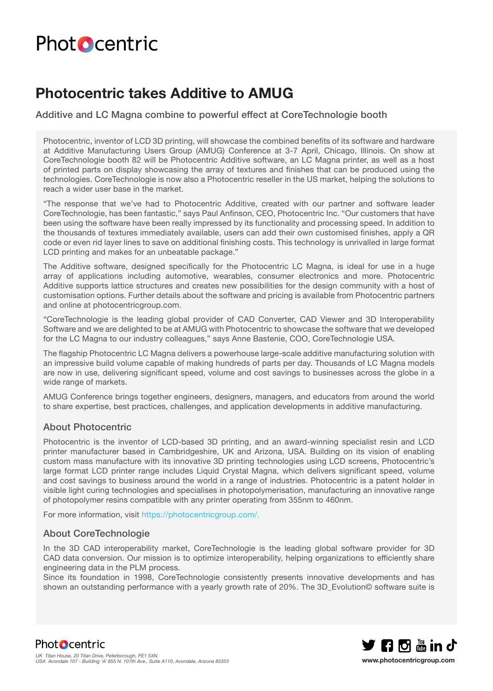# **Photocentric**

### **Photocentric takes Additive to AMUG**

Additive and LC Magna combine to powerful effect at CoreTechnologie booth

Photocentric, inventor of LCD 3D printing, will showcase the combined benefits of its software and hardware at Additive Manufacturing Users Group (AMUG) Conference at 3-7 April, Chicago, Illinois. On show at CoreTechnologie booth 82 will be Photocentric Additive software, an LC Magna printer, as well as a host of printed parts on display showcasing the array of textures and finishes that can be produced using the technologies. CoreTechnologie is now also a Photocentric reseller in the US market, helping the solutions to reach a wider user base in the market.

"The response that we've had to Photocentric Additive, created with our partner and software leader CoreTechnologie, has been fantastic," says Paul Anfinson, CEO, Photocentric Inc. "Our customers that have been using the software have been really impressed by its functionality and processing speed. In addition to the thousands of textures immediately available, users can add their own customised finishes, apply a QR code or even rid layer lines to save on additional finishing costs. This technology is unrivalled in large format LCD printing and makes for an unbeatable package."

The Additive software, designed specifically for the Photocentric LC Magna, is ideal for use in a huge array of applications including automotive, wearables, consumer electronics and more. Photocentric Additive supports lattice structures and creates new possibilities for the design community with a host of customisation options. Further details about the software and pricing is available from Photocentric partners and online at photocentricgroup.com.

"CoreTechnologie is the leading global provider of CAD Converter, CAD Viewer and 3D Interoperability Software and we are delighted to be at AMUG with Photocentric to showcase the software that we developed for the LC Magna to our industry colleagues," says Anne Bastenie, COO, CoreTechnologie USA.

The flagship Photocentric LC Magna delivers a powerhouse large-scale additive manufacturing solution with an impressive build volume capable of making hundreds of parts per day. Thousands of LC Magna models are now in use, delivering significant speed, volume and cost savings to businesses across the globe in a wide range of markets.

AMUG Conference brings together engineers, designers, managers, and educators from around the world to share expertise, best practices, challenges, and application developments in additive manufacturing.

#### About Photocentric

Photocentric is the inventor of LCD-based 3D printing, and an award-winning specialist resin and LCD printer manufacturer based in Cambridgeshire, UK and Arizona, USA. Building on its vision of enabling custom mass manufacture with its innovative 3D printing technologies using LCD screens, Photocentric's large format LCD printer range includes Liquid Crystal Magna, which delivers significant speed, volume and cost savings to business around the world in a range of industries. Photocentric is a patent holder in visible light curing technologies and specialises in photopolymerisation, manufacturing an innovative range of photopolymer resins compatible with any printer operating from 355nm to 460nm.

For more information, visit https://photocentricgroup.com/.

#### About CoreTechnologie

In the 3D CAD interoperability market, CoreTechnologie is the leading global software provider for 3D CAD data conversion. Our mission is to optimize interoperability, helping organizations to efficiently share engineering data in the PLM process.

Since its foundation in 1998, CoreTechnologie consistently presents innovative developments and has shown an outstanding performance with a yearly growth rate of 20%. The 3D Evolution© software suite is